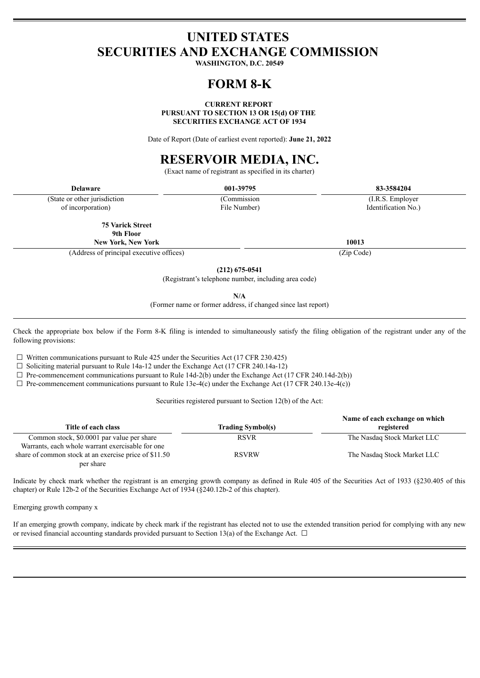## **UNITED STATES SECURITIES AND EXCHANGE COMMISSION**

**WASHINGTON, D.C. 20549**

## **FORM 8-K**

#### **CURRENT REPORT PURSUANT TO SECTION 13 OR 15(d) OF THE SECURITIES EXCHANGE ACT OF 1934**

Date of Report (Date of earliest event reported): **June 21, 2022**

# **RESERVOIR MEDIA, INC.**

(Exact name of registrant as specified in its charter)

| Delaware                      | 001-39795    | 83-3584204         |
|-------------------------------|--------------|--------------------|
| (State or other jurisdiction) | Commission   | (I.R.S. Employer)  |
| of incorporation)             | File Number) | Identification No. |

of incorporation)

**75 Varick Street 9th Floor**

**New York, New York 10013**

(Address of principal executive offices) (Zip Code)

**(212) 675-0541**

(Registrant's telephone number, including area code)

**N/A**

(Former name or former address, if changed since last report)

Check the appropriate box below if the Form 8-K filing is intended to simultaneously satisfy the filing obligation of the registrant under any of the following provisions:

 $\Box$  Written communications pursuant to Rule 425 under the Securities Act (17 CFR 230.425)

 $\Box$  Soliciting material pursuant to Rule 14a-12 under the Exchange Act (17 CFR 240.14a-12)

 $\Box$  Pre-commencement communications pursuant to Rule 14d-2(b) under the Exchange Act (17 CFR 240.14d-2(b))

 $\Box$  Pre-commencement communications pursuant to Rule 13e-4(c) under the Exchange Act (17 CFR 240.13e-4(c))

Securities registered pursuant to Section 12(b) of the Act:

| Title of each class                                   | <b>Trading Symbol(s)</b> | Name of each exchange on which<br>registered |
|-------------------------------------------------------|--------------------------|----------------------------------------------|
| Common stock, \$0.0001 par value per share            | <b>RSVR</b>              | The Nasdaq Stock Market LLC                  |
| Warrants, each whole warrant exercisable for one      |                          |                                              |
| share of common stock at an exercise price of \$11.50 | <b>RSVRW</b>             | The Nasdaq Stock Market LLC                  |
| per share                                             |                          |                                              |

Indicate by check mark whether the registrant is an emerging growth company as defined in Rule 405 of the Securities Act of 1933 (§230.405 of this chapter) or Rule 12b-2 of the Securities Exchange Act of 1934 (§240.12b-2 of this chapter).

Emerging growth company x

If an emerging growth company, indicate by check mark if the registrant has elected not to use the extended transition period for complying with any new or revised financial accounting standards provided pursuant to Section 13(a) of the Exchange Act.  $\Box$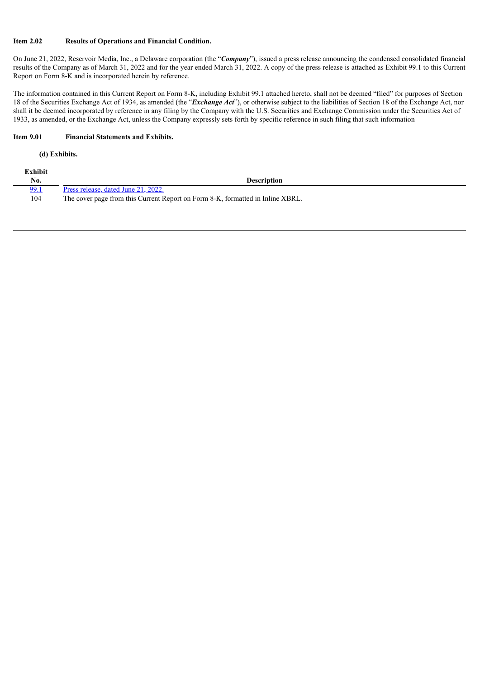## **Item 2.02 Results of Operations and Financial Condition.**

On June 21, 2022, Reservoir Media, Inc., a Delaware corporation (the "*Company*"), issued a press release announcing the condensed consolidated financial results of the Company as of March 31, 2022 and for the year ended March 31, 2022. A copy of the press release is attached as Exhibit 99.1 to this Current Report on Form 8-K and is incorporated herein by reference.

The information contained in this Current Report on Form 8-K, including Exhibit 99.1 attached hereto, shall not be deemed "filed" for purposes of Section 18 of the Securities Exchange Act of 1934, as amended (the "*Exchange Act*"), or otherwise subject to the liabilities of Section 18 of the Exchange Act, nor shall it be deemed incorporated by reference in any filing by the Company with the U.S. Securities and Exchange Commission under the Securities Act of 1933, as amended, or the Exchange Act, unless the Company expressly sets forth by specific reference in such filing that such information

#### **Item 9.01 Financial Statements and Exhibits.**

#### **(d) Exhibits.**

| Exhibit |                                                                                |
|---------|--------------------------------------------------------------------------------|
| No.     | Description                                                                    |
| 99.1    | Press release, dated June 21, 2022.                                            |
| 104     | The cover page from this Current Report on Form 8-K, formatted in Inline XBRL. |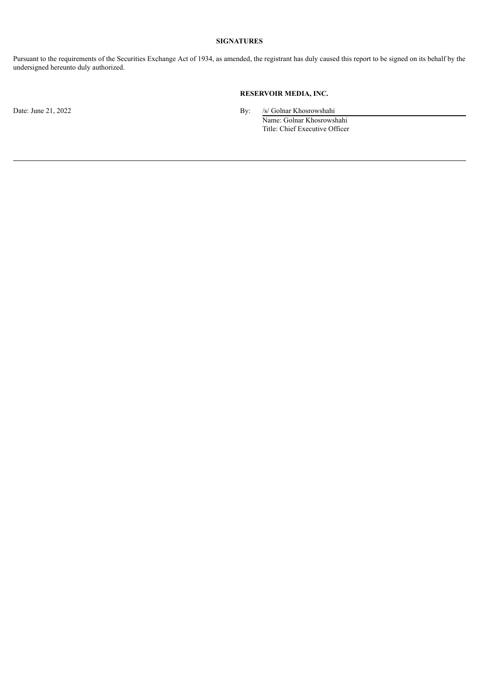## **SIGNATURES**

Pursuant to the requirements of the Securities Exchange Act of 1934, as amended, the registrant has duly caused this report to be signed on its behalf by the undersigned hereunto duly authorized.

## **RESERVOIR MEDIA, INC.**

Date: June 21, 2022 **By:** /s/ Golnar Khosrowshahi Name: Golnar Khosrowshahi Title: Chief Executive Officer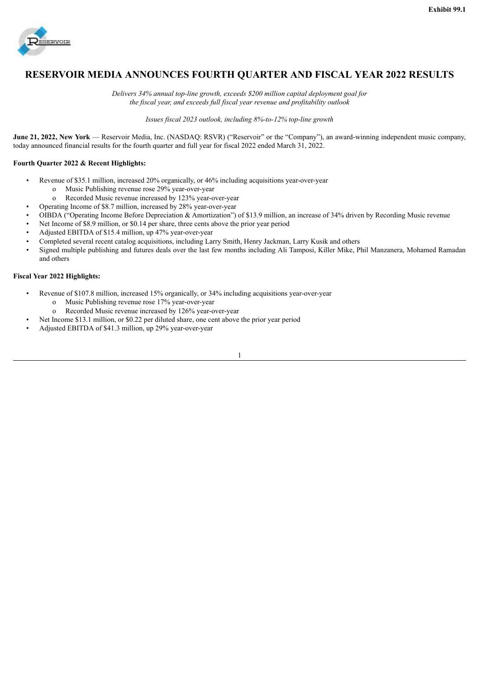<span id="page-3-0"></span>

## **RESERVOIR MEDIA ANNOUNCES FOURTH QUARTER AND FISCAL YEAR 2022 RESULTS**

*Delivers 34% annual top-line growth, exceeds \$200 million capital deployment goal for the fiscal year, and exceeds full fiscal year revenue and profitability outlook*

*Issues fiscal 2023 outlook, including 8%-to-12% top-line growth*

**June 21, 2022, New York** — Reservoir Media, Inc. (NASDAQ: RSVR) ("Reservoir" or the "Company"), an award-winning independent music company, today announced financial results for the fourth quarter and full year for fiscal 2022 ended March 31, 2022.

## **Fourth Quarter 2022 & Recent Highlights:**

- Revenue of \$35.1 million, increased 20% organically, or 46% including acquisitions year-over-year
	- o Music Publishing revenue rose 29% year-over-year
	- o Recorded Music revenue increased by 123% year-over-year
	- Operating Income of \$8.7 million, increased by 28% year-over-year
- OIBDA ("Operating Income Before Depreciation & Amortization") of \$13.9 million, an increase of 34% driven by Recording Music revenue
- Net Income of \$8.9 million, or \$0.14 per share, three cents above the prior year period
- Adjusted EBITDA of \$15.4 million, up 47% year-over-year
- Completed several recent catalog acquisitions, including Larry Smith, Henry Jackman, Larry Kusik and others
- Signed multiple publishing and futures deals over the last few months including Ali Tamposi, Killer Mike, Phil Manzanera, Mohamed Ramadan and others

### **Fiscal Year 2022 Highlights:**

- Revenue of \$107.8 million, increased 15% organically, or 34% including acquisitions year-over-year
	- o Music Publishing revenue rose 17% year-over-year
	- o Recorded Music revenue increased by 126% year-over-year
	- Net Income \$13.1 million, or \$0.22 per diluted share, one cent above the prior year period
- Adjusted EBITDA of \$41.3 million, up 29% year-over-year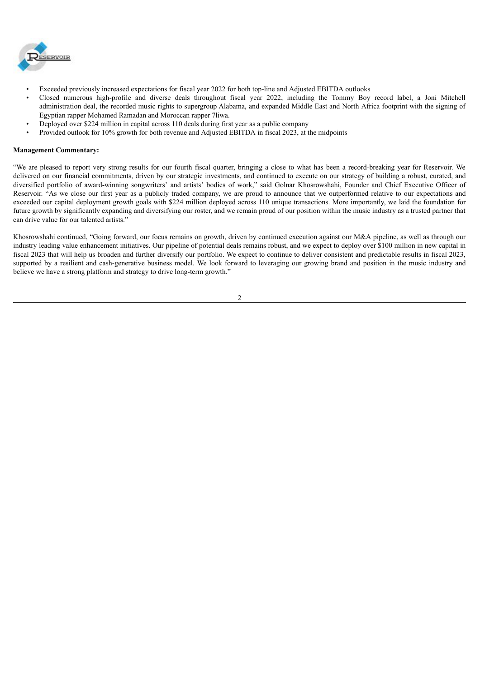

- Exceeded previously increased expectations for fiscal year 2022 for both top-line and Adjusted EBITDA outlooks
- Closed numerous high-profile and diverse deals throughout fiscal year 2022, including the Tommy Boy record label, a Joni Mitchell administration deal, the recorded music rights to supergroup Alabama, and expanded Middle East and North Africa footprint with the signing of Egyptian rapper Mohamed Ramadan and Moroccan rapper 7liwa.
- Deployed over \$224 million in capital across 110 deals during first year as a public company
- Provided outlook for 10% growth for both revenue and Adjusted EBITDA in fiscal 2023, at the midpoints

#### **Management Commentary:**

"We are pleased to report very strong results for our fourth fiscal quarter, bringing a close to what has been a record-breaking year for Reservoir. We delivered on our financial commitments, driven by our strategic investments, and continued to execute on our strategy of building a robust, curated, and diversified portfolio of award-winning songwriters' and artists' bodies of work," said Golnar Khosrowshahi, Founder and Chief Executive Officer of Reservoir. "As we close our first year as a publicly traded company, we are proud to announce that we outperformed relative to our expectations and exceeded our capital deployment growth goals with \$224 million deployed across 110 unique transactions. More importantly, we laid the foundation for future growth by significantly expanding and diversifying our roster, and we remain proud of our position within the music industry as a trusted partner that can drive value for our talented artists."

Khosrowshahi continued, "Going forward, our focus remains on growth, driven by continued execution against our M&A pipeline, as well as through our industry leading value enhancement initiatives. Our pipeline of potential deals remains robust, and we expect to deploy over \$100 million in new capital in fiscal 2023 that will help us broaden and further diversify our portfolio. We expect to continue to deliver consistent and predictable results in fiscal 2023, supported by a resilient and cash-generative business model. We look forward to leveraging our growing brand and position in the music industry and believe we have a strong platform and strategy to drive long-term growth."

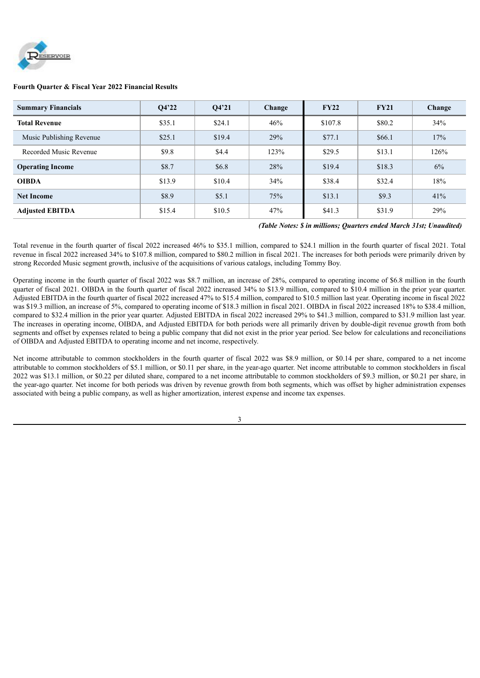

## **Fourth Quarter & Fiscal Year 2022 Financial Results**

| <b>Summary Financials</b> | O4'22  | O4'21  | FY22<br>FY21<br>Change |         | Change |      |
|---------------------------|--------|--------|------------------------|---------|--------|------|
| <b>Total Revenue</b>      | \$35.1 | \$24.1 | 46%                    | \$107.8 | \$80.2 |      |
| Music Publishing Revenue  | \$25.1 | \$19.4 | 29%                    | \$77.1  | \$66.1 | 17%  |
| Recorded Music Revenue    | \$9.8  | \$4.4  | 123%                   | \$29.5  | \$13.1 | 126% |
| <b>Operating Income</b>   | \$8.7  | \$6.8  | 28%                    | \$19.4  | \$18.3 | 6%   |
| <b>OIBDA</b>              | \$13.9 | \$10.4 | 34%                    | \$38.4  | \$32.4 | 18%  |
| <b>Net Income</b>         | \$8.9  | \$5.1  | 75%                    | \$13.1  | \$9.3  | 41%  |
| <b>Adjusted EBITDA</b>    | \$15.4 | \$10.5 | 47%                    | \$41.3  | \$31.9 | 29%  |

## *(Table Notes: \$ in millions; Quarters ended March 31st; Unaudited)*

Total revenue in the fourth quarter of fiscal 2022 increased 46% to \$35.1 million, compared to \$24.1 million in the fourth quarter of fiscal 2021. Total revenue in fiscal 2022 increased 34% to \$107.8 million, compared to \$80.2 million in fiscal 2021. The increases for both periods were primarily driven by strong Recorded Music segment growth, inclusive of the acquisitions of various catalogs, including Tommy Boy.

Operating income in the fourth quarter of fiscal 2022 was \$8.7 million, an increase of 28%, compared to operating income of \$6.8 million in the fourth quarter of fiscal 2021. OIBDA in the fourth quarter of fiscal 2022 increased 34% to \$13.9 million, compared to \$10.4 million in the prior year quarter. Adjusted EBITDA in the fourth quarter of fiscal 2022 increased 47% to \$15.4 million, compared to \$10.5 million last year. Operating income in fiscal 2022 was \$19.3 million, an increase of 5%, compared to operating income of \$18.3 million in fiscal 2021. OIBDA in fiscal 2022 increased 18% to \$38.4 million, compared to \$32.4 million in the prior year quarter. Adjusted EBITDA in fiscal 2022 increased 29% to \$41.3 million, compared to \$31.9 million last year. The increases in operating income, OIBDA, and Adjusted EBITDA for both periods were all primarily driven by double-digit revenue growth from both segments and offset by expenses related to being a public company that did not exist in the prior year period. See below for calculations and reconciliations of OIBDA and Adjusted EBITDA to operating income and net income, respectively.

Net income attributable to common stockholders in the fourth quarter of fiscal 2022 was \$8.9 million, or \$0.14 per share, compared to a net income attributable to common stockholders of \$5.1 million, or \$0.11 per share, in the year-ago quarter. Net income attributable to common stockholders in fiscal 2022 was \$13.1 million, or \$0.22 per diluted share, compared to a net income attributable to common stockholders of \$9.3 million, or \$0.21 per share, in the year-ago quarter. Net income for both periods was driven by revenue growth from both segments, which was offset by higher administration expenses associated with being a public company, as well as higher amortization, interest expense and income tax expenses.

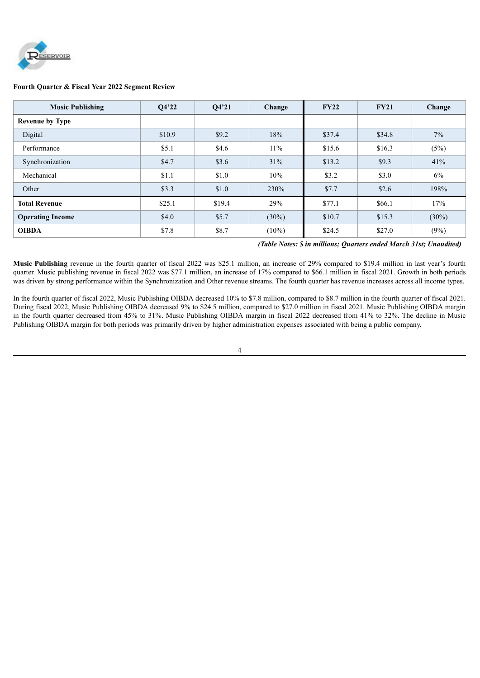

#### **Fourth Quarter & Fiscal Year 2022 Segment Review**

| <b>Music Publishing</b> | O4'22  | O4'21  | Change        | <b>FY22</b> | <b>FY21</b> | Change   |
|-------------------------|--------|--------|---------------|-------------|-------------|----------|
| <b>Revenue by Type</b>  |        |        |               |             |             |          |
| Digital                 | \$10.9 | \$9.2  | 18%<br>\$37.4 |             | \$34.8      | $7\%$    |
| Performance             | \$5.1  | \$4.6  | 11%           | \$15.6      | \$16.3      | (5%)     |
| Synchronization         | \$4.7  | \$3.6  | 31%           | \$13.2      | \$9.3       | 41%      |
| Mechanical              | \$1.1  | \$1.0  | 10%           | \$3.2       | \$3.0       | 6%       |
| Other                   | \$3.3  | \$1.0  | 230%          | \$7.7       | \$2.6       | 198%     |
| <b>Total Revenue</b>    | \$25.1 | \$19.4 | 29%           | \$77.1      | \$66.1      | 17%      |
| <b>Operating Income</b> | \$4.0  | \$5.7  | $(30\%)$      | \$10.7      | \$15.3      | $(30\%)$ |
| <b>OIBDA</b>            | \$7.8  | \$8.7  | $(10\%)$      | \$24.5      | \$27.0      | (9%)     |

#### *(Table Notes: \$ in millions; Quarters ended March 31st; Unaudited)*

**Music Publishing** revenue in the fourth quarter of fiscal 2022 was \$25.1 million, an increase of 29% compared to \$19.4 million in last year's fourth quarter. Music publishing revenue in fiscal 2022 was \$77.1 million, an increase of 17% compared to \$66.1 million in fiscal 2021. Growth in both periods was driven by strong performance within the Synchronization and Other revenue streams. The fourth quarter has revenue increases across all income types.

In the fourth quarter of fiscal 2022, Music Publishing OIBDA decreased 10% to \$7.8 million, compared to \$8.7 million in the fourth quarter of fiscal 2021. During fiscal 2022, Music Publishing OIBDA decreased 9% to \$24.5 million, compared to \$27.0 million in fiscal 2021. Music Publishing OIBDA margin in the fourth quarter decreased from 45% to 31%. Music Publishing OIBDA margin in fiscal 2022 decreased from 41% to 32%. The decline in Music Publishing OIBDA margin for both periods was primarily driven by higher administration expenses associated with being a public company.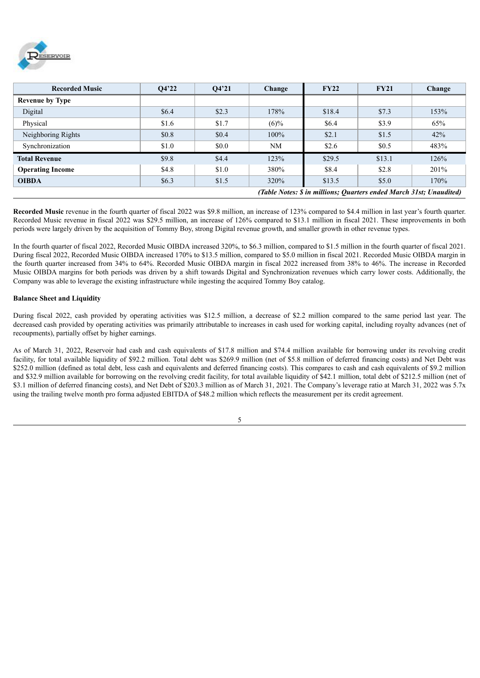

| <b>Recorded Music</b>   | O4'22 | O4'21 | Change  | FY22                                                                | <b>FY21</b> | Change |
|-------------------------|-------|-------|---------|---------------------------------------------------------------------|-------------|--------|
| <b>Revenue by Type</b>  |       |       |         |                                                                     |             |        |
| Digital                 | \$6.4 | \$2.3 | 178%    | \$18.4                                                              | \$7.3       | 153%   |
| Physical                | \$1.6 | \$1.7 | $(6)\%$ | \$6.4                                                               | \$3.9       | 65%    |
| Neighboring Rights      | \$0.8 | \$0.4 | 100%    | \$2.1                                                               | \$1.5       | 42%    |
| Synchronization         | \$1.0 | \$0.0 | NM      | \$2.6                                                               | \$0.5       | 483%   |
| <b>Total Revenue</b>    | \$9.8 | \$4.4 | 123%    | \$29.5                                                              | \$13.1      | 126%   |
| <b>Operating Income</b> | \$4.8 | \$1.0 | 380%    | \$8.4                                                               | \$2.8       | 201%   |
| <b>OIBDA</b>            | \$6.3 | \$1.5 | 320%    | \$13.5                                                              | \$5.0       | 170%   |
|                         |       |       |         | (Table Notes: \$ in millions; Quarters ended March 31st; Unaudited) |             |        |

**Recorded Music** revenue in the fourth quarter of fiscal 2022 was \$9.8 million, an increase of 123% compared to \$4.4 million in last year's fourth quarter. Recorded Music revenue in fiscal 2022 was \$29.5 million, an increase of 126% compared to \$13.1 million in fiscal 2021. These improvements in both periods were largely driven by the acquisition of Tommy Boy, strong Digital revenue growth, and smaller growth in other revenue types.

In the fourth quarter of fiscal 2022, Recorded Music OIBDA increased 320%, to \$6.3 million, compared to \$1.5 million in the fourth quarter of fiscal 2021. During fiscal 2022, Recorded Music OIBDA increased 170% to \$13.5 million, compared to \$5.0 million in fiscal 2021. Recorded Music OIBDA margin in the fourth quarter increased from 34% to 64%. Recorded Music OIBDA margin in fiscal 2022 increased from 38% to 46%. The increase in Recorded Music OIBDA margins for both periods was driven by a shift towards Digital and Synchronization revenues which carry lower costs. Additionally, the Company was able to leverage the existing infrastructure while ingesting the acquired Tommy Boy catalog.

#### **Balance Sheet and Liquidity**

During fiscal 2022, cash provided by operating activities was \$12.5 million, a decrease of \$2.2 million compared to the same period last year. The decreased cash provided by operating activities was primarily attributable to increases in cash used for working capital, including royalty advances (net of recoupments), partially offset by higher earnings.

As of March 31, 2022, Reservoir had cash and cash equivalents of \$17.8 million and \$74.4 million available for borrowing under its revolving credit facility, for total available liquidity of \$92.2 million. Total debt was \$269.9 million (net of \$5.8 million of deferred financing costs) and Net Debt was \$252.0 million (defined as total debt, less cash and equivalents and deferred financing costs). This compares to cash and cash equivalents of \$9.2 million and \$32.9 million available for borrowing on the revolving credit facility, for total available liquidity of \$42.1 million, total debt of \$212.5 million (net of \$3.1 million of deferred financing costs), and Net Debt of \$203.3 million as of March 31, 2021. The Company's leverage ratio at March 31, 2022 was 5.7x using the trailing twelve month pro forma adjusted EBITDA of \$48.2 million which reflects the measurement per its credit agreement.

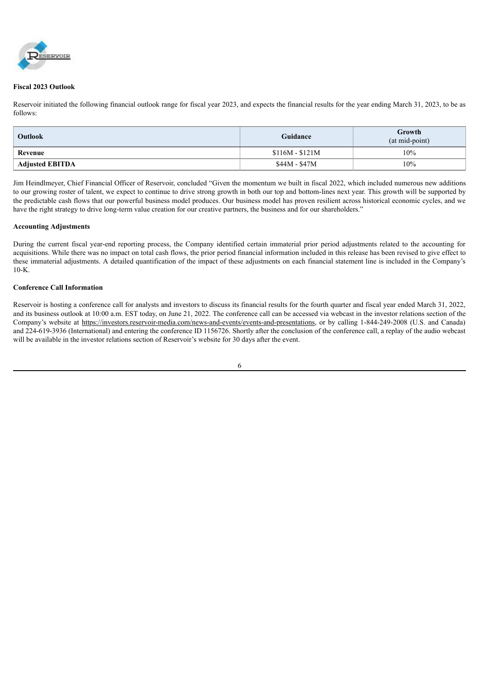

#### **Fiscal 2023 Outlook**

Reservoir initiated the following financial outlook range for fiscal year 2023, and expects the financial results for the year ending March 31, 2023, to be as follows:

| <b>Outlook</b>         | Guidance        | Growth<br>(at mid-point) |  |  |  |
|------------------------|-----------------|--------------------------|--|--|--|
| Revenue                | $$116M - $121M$ | 10%                      |  |  |  |
| <b>Adjusted EBITDA</b> | \$44M - \$47M   | 10%                      |  |  |  |

Jim Heindlmeyer, Chief Financial Officer of Reservoir, concluded "Given the momentum we built in fiscal 2022, which included numerous new additions to our growing roster of talent, we expect to continue to drive strong growth in both our top and bottom-lines next year. This growth will be supported by the predictable cash flows that our powerful business model produces. Our business model has proven resilient across historical economic cycles, and we have the right strategy to drive long-term value creation for our creative partners, the business and for our shareholders."

#### **Accounting Adjustments**

During the current fiscal year-end reporting process, the Company identified certain immaterial prior period adjustments related to the accounting for acquisitions. While there was no impact on total cash flows, the prior period financial information included in this release has been revised to give effect to these immaterial adjustments. A detailed quantification of the impact of these adjustments on each financial statement line is included in the Company's  $10-K$ 

## **Conference Call Information**

Reservoir is hosting a conference call for analysts and investors to discuss its financial results for the fourth quarter and fiscal year ended March 31, 2022, and its business outlook at 10:00 a.m. EST today, on June 21, 2022. The conference call can be accessed via webcast in the investor relations section of the Company's website at https://investors.reservoir-media.com/news-and-events/events-and-presentations, or by calling 1-844-249-2008 (U.S. and Canada) and 224-619-3936 (International) and entering the conference ID 1156726. Shortly after the conclusion of the conference call, a replay of the audio webcast will be available in the investor relations section of Reservoir's website for 30 days after the event.

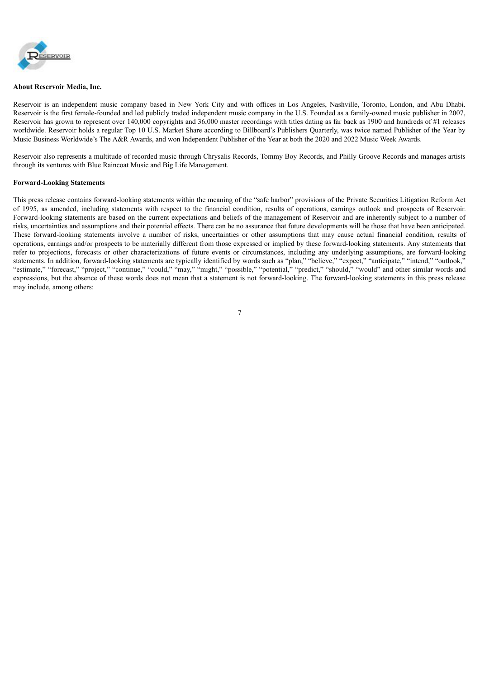

#### **About Reservoir Media, Inc.**

Reservoir is an independent music company based in New York City and with offices in Los Angeles, Nashville, Toronto, London, and Abu Dhabi. Reservoir is the first female-founded and led publicly traded independent music company in the U.S. Founded as a family-owned music publisher in 2007, Reservoir has grown to represent over 140,000 copyrights and 36,000 master recordings with titles dating as far back as 1900 and hundreds of #1 releases worldwide. Reservoir holds a regular Top 10 U.S. Market Share according to Billboard's Publishers Quarterly, was twice named Publisher of the Year by Music Business Worldwide's The A&R Awards, and won Independent Publisher of the Year at both the 2020 and 2022 Music Week Awards.

Reservoir also represents a multitude of recorded music through Chrysalis Records, Tommy Boy Records, and Philly Groove Records and manages artists through its ventures with Blue Raincoat Music and Big Life Management.

#### **Forward-Looking Statements**

This press release contains forward-looking statements within the meaning of the "safe harbor" provisions of the Private Securities Litigation Reform Act of 1995, as amended, including statements with respect to the financial condition, results of operations, earnings outlook and prospects of Reservoir. Forward-looking statements are based on the current expectations and beliefs of the management of Reservoir and are inherently subject to a number of risks, uncertainties and assumptions and their potential effects. There can be no assurance that future developments will be those that have been anticipated. These forward-looking statements involve a number of risks, uncertainties or other assumptions that may cause actual financial condition, results of operations, earnings and/or prospects to be materially different from those expressed or implied by these forward-looking statements. Any statements that refer to projections, forecasts or other characterizations of future events or circumstances, including any underlying assumptions, are forward-looking statements. In addition, forward-looking statements are typically identified by words such as "plan," "believe," "expect," "anticipate," "intend," "outlook," "estimate," "forecast," "project," "continue," "could," "may," "might," "possible," "potential," "predict," "should," "would" and other similar words and expressions, but the absence of these words does not mean that a statement is not forward-looking. The forward-looking statements in this press release may include, among others: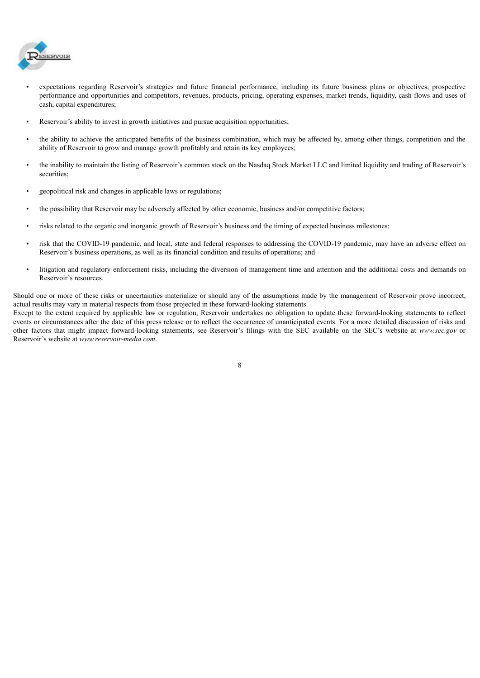

- expectations regarding Reservoir's strategies and future financial performance, including its future business plans or objectives, prospective performance and opportunities and competitors, revenues, products, pricing, operating expenses, market trends, liquidity, cash flows and uses of cash, capital expenditures;
- Reservoir's ability to invest in growth initiatives and pursue acquisition opportunities;
- the ability to achieve the anticipated benefits of the business combination, which may be affected by, among other things, competition and the ability of Reservoir to grow and manage growth profitably and retain its key employees;
- the inability to maintain the listing of Reservoir's common stock on the Nasdaq Stock Market LLC and limited liquidity and trading of Reservoir's securities;
- geopolitical risk and changes in applicable laws or regulations;
- the possibility that Reservoir may be adversely affected by other economic, business and/or competitive factors;
- risks related to the organic and inorganic growth of Reservoir's business and the timing of expected business milestones;
- risk that the COVID-19 pandemic, and local, state and federal responses to addressing the COVID-19 pandemic, may have an adverse effect on Reservoir's business operations, as well as its financial condition and results of operations; and
- litigation and regulatory enforcement risks, including the diversion of management time and attention and the additional costs and demands on Reservoir's resources.

Should one or more of these risks or uncertainties materialize or should any of the assumptions made by the management of Reservoir prove incorrect, actual results may vary in material respects from those projected in these forward-looking statements.

Except to the extent required by applicable law or regulation, Reservoir undertakes no obligation to update these forward-looking statements to reflect events or circumstances after the date of this press release or to reflect the occurrence of unanticipated events. For a more detailed discussion of risks and other factors that might impact forward-looking statements, see Reservoir's filings with the SEC available on the SEC's website at *www.sec.gov* or Reservoir's website at *www.reservoir-media.com*.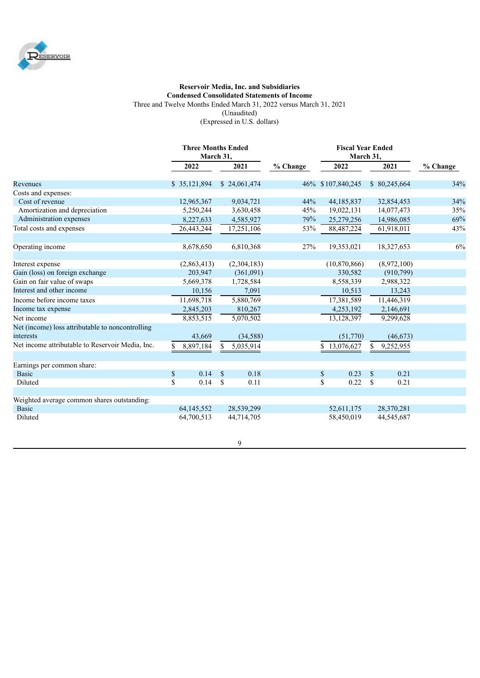

## **Reservoir Media, Inc. and Subsidiaries Condensed Consolidated Statements of Income** Three and Twelve Months Ended March 31, 2022 versus March 31, 2021 (Unaudited) (Expressed in U.S. dollars)

|                                                               | <b>Three Months Ended</b><br>March 31, |               |                  |     |                   | <b>Fiscal Year Ended</b><br>March 31, |              |          |  |
|---------------------------------------------------------------|----------------------------------------|---------------|------------------|-----|-------------------|---------------------------------------|--------------|----------|--|
|                                                               | 2022                                   |               | 2021<br>% Change |     | 2022              | 2021                                  |              | % Change |  |
| Revenues                                                      | \$35,121,894                           |               | \$24,061,474     |     | 46% \$107,840,245 |                                       | \$80,245,664 | 34%      |  |
| Costs and expenses:                                           |                                        |               |                  |     |                   |                                       |              |          |  |
| Cost of revenue                                               | 12,965,367                             |               | 9,034,721        | 44% | 44,185,837        |                                       | 32,854,453   | 34%      |  |
| Amortization and depreciation                                 | 5,250,244                              |               | 3,630,458        | 45% | 19,022,131        |                                       | 14,077,473   | 35%      |  |
| Administration expenses                                       | 8,227,633                              |               | 4,585,927        | 79% | 25,279,256        |                                       | 14,986,085   | 69%      |  |
| Total costs and expenses                                      | 26,443,244                             |               | 17,251,106       | 53% | 88,487,224        |                                       | 61,918,011   | 43%      |  |
| Operating income                                              | 8,678,650                              |               | 6,810,368        | 27% | 19,353,021        |                                       | 18,327,653   | 6%       |  |
| Interest expense                                              | (2,863,413)                            |               | (2,304,183)      |     | (10,870,866)      |                                       | (8,972,100)  |          |  |
| Gain (loss) on foreign exchange                               | 203,947                                |               | (361,091)        |     | 330,582           |                                       | (910, 799)   |          |  |
| Gain on fair value of swaps                                   | 5,669,378                              |               | 1,728,584        |     | 8,558,339         |                                       | 2,988,322    |          |  |
| Interest and other income                                     | 10,156                                 |               | 7,091            |     | 10,513            |                                       | 13,243       |          |  |
| Income before income taxes                                    | 11,698,718                             |               | 5,880,769        |     | 17,381,589        |                                       | 11,446,319   |          |  |
| Income tax expense                                            | 2,845,203                              |               | 810,267          |     | 4,253,192         |                                       | 2,146,691    |          |  |
| Net income                                                    | 8,853,515                              |               | 5,070,502        |     | 13,128,397        |                                       | 9,299,628    |          |  |
| Net (income) loss attributable to noncontrolling<br>interests | 43,669                                 |               | (34,588)         |     | (51,770)          |                                       | (46, 673)    |          |  |
| Net income attributable to Reservoir Media, Inc.              | 8,897,184<br>\$                        | S.            | 5,035,914        |     | 13,076,627        | \$                                    | 9,252,955    |          |  |
| Earnings per common share:                                    |                                        |               |                  |     |                   |                                       |              |          |  |
| <b>Basic</b>                                                  | $\$$<br>0.14                           | $\mathcal{S}$ | 0.18             |     | 0.23<br>\$        | $\mathcal{S}$                         | 0.21         |          |  |
| Diluted                                                       | \$<br>0.14                             | <sup>\$</sup> | 0.11             |     | 0.22<br>\$        | $\mathbf S$                           | 0.21         |          |  |
| Weighted average common shares outstanding:                   |                                        |               |                  |     |                   |                                       |              |          |  |
| <b>Basic</b>                                                  | 64,145,552                             |               | 28,539,299       |     | 52,611,175        |                                       | 28,370,281   |          |  |
| Diluted                                                       | 64,700,513                             |               | 44,714,705       |     | 58,450,019        |                                       | 44,545,687   |          |  |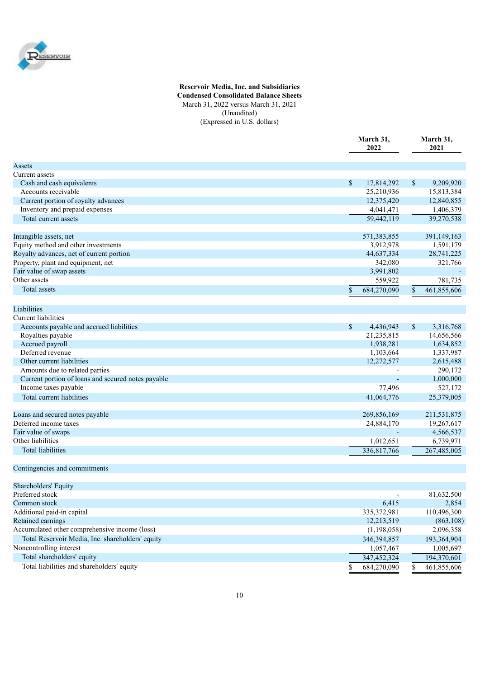

### **Reservoir Media, Inc. and Subsidiaries Condensed Consolidated Balance Sheets** March 31, 2022 versus March 31, 2021 (Unaudited) (Expressed in U.S. dollars)

|                                                          | March 31,<br>2022 | March 31,<br>2021 |
|----------------------------------------------------------|-------------------|-------------------|
| Assets                                                   |                   |                   |
| Current assets                                           |                   |                   |
| Cash and cash equivalents                                | \$<br>17,814,292  | \$<br>9,209,920   |
| Accounts receivable                                      | 25,210,936        | 15,813,384        |
| Current portion of royalty advances                      | 12,375,420        | 12,840,855        |
| Inventory and prepaid expenses                           | 4,041,471         | 1,406,379         |
| Total current assets                                     | 59,442,119        | 39,270,538        |
|                                                          |                   |                   |
| Intangible assets, net                                   | 571,383,855       | 391,149,163       |
| Equity method and other investments                      | 3,912,978         | 1,591,179         |
| Royalty advances, net of current portion                 | 44,637,334        | 28,741,225        |
| Property, plant and equipment, net                       | 342,080           | 321,766           |
| Fair value of swap assets<br>Other assets                | 3,991,802         |                   |
|                                                          | 559,922           | 781,735           |
| Total assets                                             | 684,270,090<br>\$ | \$<br>461,855,606 |
| Liabilities                                              |                   |                   |
| Current liabilities                                      |                   |                   |
| Accounts payable and accrued liabilities                 | \$<br>4,436,943   | \$<br>3,316,768   |
| Royalties payable                                        | 21,235,815        | 14,656,566        |
| Accrued payroll                                          | 1,938,281         | 1,634,852         |
| Deferred revenue                                         | 1,103,664         | 1,337,987         |
| Other current liabilities                                | 12,272,577        | 2,615,488         |
| Amounts due to related parties                           |                   | 290,172           |
| Current portion of loans and secured notes payable       |                   | 1,000,000         |
| Income taxes payable                                     | 77,496            | 527,172           |
| Total current liabilities                                | 41,064,776        | 25,379,005        |
|                                                          |                   |                   |
| Loans and secured notes payable<br>Deferred income taxes | 269,856,169       | 211,531,875       |
|                                                          | 24,884,170        | 19,267,617        |
| Fair value of swaps<br>Other liabilities                 |                   | 4,566,537         |
|                                                          | 1,012,651         | 6,739,971         |
| <b>Total liabilities</b>                                 | 336,817,766       | 267,485,005       |
| Contingencies and commitments                            |                   |                   |
| Shareholders' Equity                                     |                   |                   |
| Preferred stock                                          |                   | 81,632,500        |
| Common stock                                             | 6,415             | 2,854             |
| Additional paid-in capital                               | 335, 372, 981     | 110,496,300       |
| Retained earnings                                        | 12,213,519        | (863, 108)        |
| Accumulated other comprehensive income (loss)            | (1,198,058)       | 2,096,358         |
| Total Reservoir Media, Inc. shareholders' equity         | 346,394,857       | 193,364,904       |
| Noncontrolling interest                                  | 1,057,467         | 1,005,697         |
| Total shareholders' equity                               | 347,452,324       | 194,370,601       |
| Total liabilities and shareholders' equity               | 684,270,090<br>S  | 461,855,606<br>\$ |
|                                                          |                   |                   |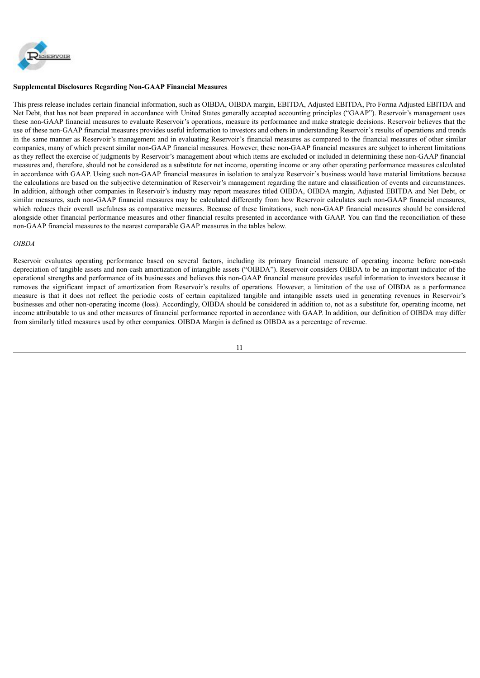

## **Supplemental Disclosures Regarding Non-GAAP Financial Measures**

This press release includes certain financial information, such as OIBDA, OIBDA margin, EBITDA, Adjusted EBITDA, Pro Forma Adjusted EBITDA and Net Debt, that has not been prepared in accordance with United States generally accepted accounting principles ("GAAP"). Reservoir's management uses these non-GAAP financial measures to evaluate Reservoir's operations, measure its performance and make strategic decisions. Reservoir believes that the use of these non-GAAP financial measures provides useful information to investors and others in understanding Reservoir's results of operations and trends in the same manner as Reservoir's management and in evaluating Reservoir's financial measures as compared to the financial measures of other similar companies, many of which present similar non-GAAP financial measures. However, these non-GAAP financial measures are subject to inherent limitations as they reflect the exercise of judgments by Reservoir's management about which items are excluded or included in determining these non-GAAP financial measures and, therefore, should not be considered as a substitute for net income, operating income or any other operating performance measures calculated in accordance with GAAP. Using such non-GAAP financial measures in isolation to analyze Reservoir's business would have material limitations because the calculations are based on the subjective determination of Reservoir's management regarding the nature and classification of events and circumstances. In addition, although other companies in Reservoir's industry may report measures titled OIBDA, OIBDA margin, Adjusted EBITDA and Net Debt, or similar measures, such non-GAAP financial measures may be calculated differently from how Reservoir calculates such non-GAAP financial measures, which reduces their overall usefulness as comparative measures. Because of these limitations, such non-GAAP financial measures should be considered alongside other financial performance measures and other financial results presented in accordance with GAAP. You can find the reconciliation of these non-GAAP financial measures to the nearest comparable GAAP measures in the tables below.

#### *OIBDA*

Reservoir evaluates operating performance based on several factors, including its primary financial measure of operating income before non-cash depreciation of tangible assets and non-cash amortization of intangible assets ("OIBDA"). Reservoir considers OIBDA to be an important indicator of the operational strengths and performance of its businesses and believes this non-GAAP financial measure provides useful information to investors because it removes the significant impact of amortization from Reservoir's results of operations. However, a limitation of the use of OIBDA as a performance measure is that it does not reflect the periodic costs of certain capitalized tangible and intangible assets used in generating revenues in Reservoir's businesses and other non-operating income (loss). Accordingly, OIBDA should be considered in addition to, not as a substitute for, operating income, net income attributable to us and other measures of financial performance reported in accordance with GAAP. In addition, our definition of OIBDA may differ from similarly titled measures used by other companies. OIBDA Margin is defined as OIBDA as a percentage of revenue.

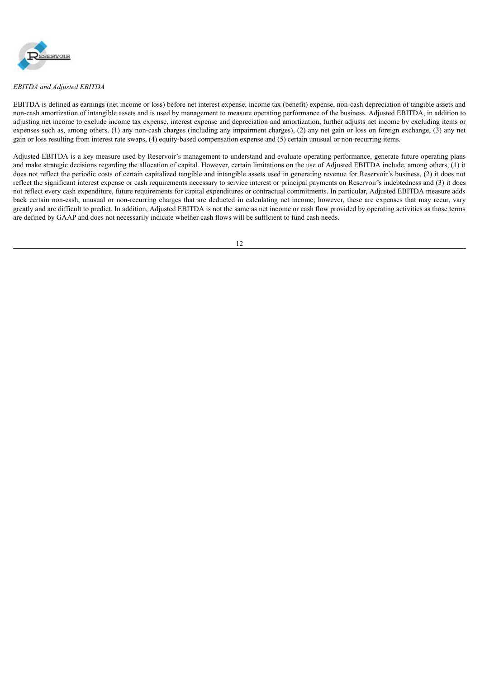

#### *EBITDA and Adjusted EBITDA*

EBITDA is defined as earnings (net income or loss) before net interest expense, income tax (benefit) expense, non-cash depreciation of tangible assets and non-cash amortization of intangible assets and is used by management to measure operating performance of the business. Adjusted EBITDA, in addition to adjusting net income to exclude income tax expense, interest expense and depreciation and amortization, further adjusts net income by excluding items or expenses such as, among others, (1) any non-cash charges (including any impairment charges), (2) any net gain or loss on foreign exchange, (3) any net gain or loss resulting from interest rate swaps, (4) equity-based compensation expense and (5) certain unusual or non-recurring items.

Adjusted EBITDA is a key measure used by Reservoir's management to understand and evaluate operating performance, generate future operating plans and make strategic decisions regarding the allocation of capital. However, certain limitations on the use of Adjusted EBITDA include, among others, (1) it does not reflect the periodic costs of certain capitalized tangible and intangible assets used in generating revenue for Reservoir's business, (2) it does not reflect the significant interest expense or cash requirements necessary to service interest or principal payments on Reservoir's indebtedness and (3) it does not reflect every cash expenditure, future requirements for capital expenditures or contractual commitments. In particular, Adjusted EBITDA measure adds back certain non-cash, unusual or non-recurring charges that are deducted in calculating net income; however, these are expenses that may recur, vary greatly and are difficult to predict. In addition, Adjusted EBITDA is not the same as net income or cash flow provided by operating activities as those terms are defined by GAAP and does not necessarily indicate whether cash flows will be sufficient to fund cash needs.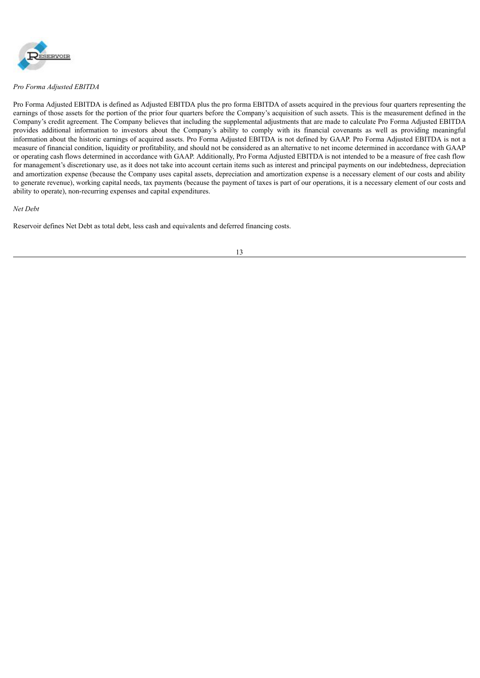

*Pro Forma Adjusted EBITDA*

Pro Forma Adjusted EBITDA is defined as Adjusted EBITDA plus the pro forma EBITDA of assets acquired in the previous four quarters representing the earnings of those assets for the portion of the prior four quarters before the Company's acquisition of such assets. This is the measurement defined in the Company's credit agreement. The Company believes that including the supplemental adjustments that are made to calculate Pro Forma Adjusted EBITDA provides additional information to investors about the Company's ability to comply with its financial covenants as well as providing meaningful information about the historic earnings of acquired assets. Pro Forma Adjusted EBITDA is not defined by GAAP. Pro Forma Adjusted EBITDA is not a measure of financial condition, liquidity or profitability, and should not be considered as an alternative to net income determined in accordance with GAAP or operating cash flows determined in accordance with GAAP. Additionally, Pro Forma Adjusted EBITDA is not intended to be a measure of free cash flow for management's discretionary use, as it does not take into account certain items such as interest and principal payments on our indebtedness, depreciation and amortization expense (because the Company uses capital assets, depreciation and amortization expense is a necessary element of our costs and ability to generate revenue), working capital needs, tax payments (because the payment of taxes is part of our operations, it is a necessary element of our costs and ability to operate), non-recurring expenses and capital expenditures.

#### *Net Debt*

Reservoir defines Net Debt as total debt, less cash and equivalents and deferred financing costs.

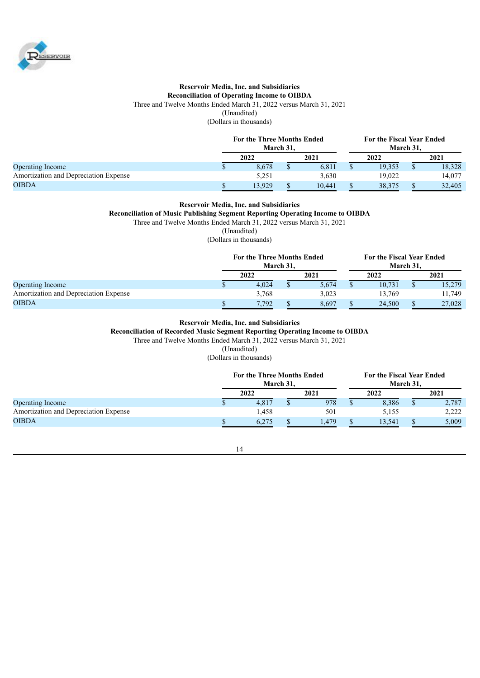

## **Reservoir Media, Inc. and Subsidiaries Reconciliation of Operating Income to OIBDA** Three and Twelve Months Ended March 31, 2022 versus March 31, 2021 (Unaudited)

(Dollars in thousands)

|                                       | <b>For the Three Months Ended</b><br>March 31. |  |        |  | For the Fiscal Year Ended<br>March 31. |      |        |  |
|---------------------------------------|------------------------------------------------|--|--------|--|----------------------------------------|------|--------|--|
|                                       | 2022                                           |  | 2021   |  | 2022                                   | 2021 |        |  |
| <b>Operating Income</b>               | 8.678                                          |  | 6,811  |  | 19.353                                 |      | 18,328 |  |
| Amortization and Depreciation Expense | 5,251                                          |  | 3,630  |  | 19.022                                 |      | 14,077 |  |
| <b>OIBDA</b>                          | 13.929                                         |  | 10.441 |  | 38.375                                 |      | 32,405 |  |

#### **Reservoir Media, Inc. and Subsidiaries**

**Reconciliation of Music Publishing Segment Reporting Operating Income to OIBDA**

Three and Twelve Months Ended March 31, 2022 versus March 31, 2021

(Unaudited)

(Dollars in thousands)

|                                       | <b>For the Three Months Ended</b><br>March 31. |  |       | For the Fiscal Year Ended<br>March 31, |        |      |        |
|---------------------------------------|------------------------------------------------|--|-------|----------------------------------------|--------|------|--------|
|                                       | 2022                                           |  | 2021  |                                        | 2022   | 2021 |        |
| <b>Operating Income</b>               | 4.024                                          |  | 5,674 |                                        | 10.731 |      | 15,279 |
| Amortization and Depreciation Expense | 3,768                                          |  | 3.023 |                                        | 13.769 |      | 11,749 |
| <b>OIBDA</b>                          | 7.792                                          |  | 8.697 |                                        | 24,500 |      | 27,028 |

## **Reservoir Media, Inc. and Subsidiaries**

**Reconciliation of Recorded Music Segment Reporting Operating Income to OIBDA**

Three and Twelve Months Ended March 31, 2022 versus March 31, 2021

(Unaudited)

(Dollars in thousands)

|                                       | <b>For the Three Months Ended</b><br>March 31. |       |  |      | For the Fiscal Year Ended<br>March 31. |        |  |       |
|---------------------------------------|------------------------------------------------|-------|--|------|----------------------------------------|--------|--|-------|
|                                       |                                                | 2022  |  | 2021 |                                        | 2022   |  | 2021  |
| <b>Operating Income</b>               |                                                | 4,817 |  | 978  |                                        | 8,386  |  | 2,787 |
| Amortization and Depreciation Expense |                                                | .458  |  | 501  |                                        | 5.155  |  | 2.222 |
| <b>OIBDA</b>                          |                                                | 6.275 |  | .479 |                                        | 13.541 |  | 5,009 |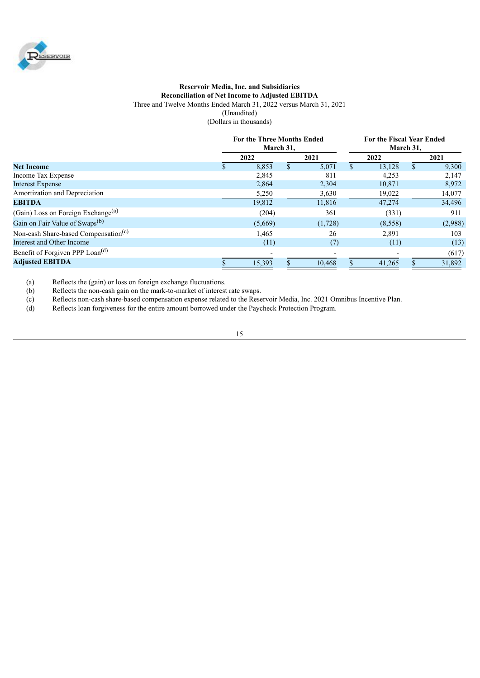

#### **Reservoir Media, Inc. and Subsidiaries Reconciliation of Net Income to Adjusted EBITDA** Three and Twelve Months Ended March 31, 2022 versus March 31, 2021 (Unaudited) (Dollars in thousands)

|                                                  | For the Three Months Ended<br>March 31, |    |         |     | For the Fiscal Year Ended<br>March 31, |     |         |  |
|--------------------------------------------------|-----------------------------------------|----|---------|-----|----------------------------------------|-----|---------|--|
|                                                  | 2022                                    |    | 2021    |     | 2022                                   |     | 2021    |  |
| <b>Net Income</b>                                | 8,853                                   | S. | 5,071   | S.  | 13,128                                 | S.  | 9,300   |  |
| Income Tax Expense                               | 2,845                                   |    | 811     |     | 4,253                                  |     | 2,147   |  |
| <b>Interest Expense</b>                          | 2,864                                   |    | 2,304   |     | 10,871                                 |     | 8,972   |  |
| Amortization and Depreciation                    | 5,250                                   |    | 3,630   |     | 19,022                                 |     | 14,077  |  |
| <b>EBITDA</b>                                    | 19,812                                  |    | 11,816  |     | 47,274                                 |     | 34,496  |  |
| (Gain) Loss on Foreign Exchange <sup>(a)</sup>   | (204)                                   |    | 361     |     | (331)                                  |     | 911     |  |
| Gain on Fair Value of Swaps <sup>(b)</sup>       | (5,669)                                 |    | (1,728) |     | (8,558)                                |     | (2,988) |  |
| Non-cash Share-based Compensation <sup>(c)</sup> | 1,465                                   |    | 26      |     | 2,891                                  |     | 103     |  |
| Interest and Other Income                        | (11)                                    |    | (7)     |     | (11)                                   |     | (13)    |  |
| Benefit of Forgiven PPP Loan <sup>(d)</sup>      |                                         |    |         |     |                                        |     | (617)   |  |
| <b>Adjusted EBITDA</b>                           | 15,393                                  |    | 10.468  | \$. | 41.265                                 | \$. | 31,892  |  |

(a) Reflects the (gain) or loss on foreign exchange fluctuations.

(b) Reflects the non-cash gain on the mark-to-market of interest rate swaps.

(c) Reflects non-cash share-based compensation expense related to the Reservoir Media, Inc. 2021 Omnibus Incentive Plan.<br>
(d) Reflects loan forgiveness for the entire amount borrowed under the Paycheck Protection Program.

Reflects loan forgiveness for the entire amount borrowed under the Paycheck Protection Program.